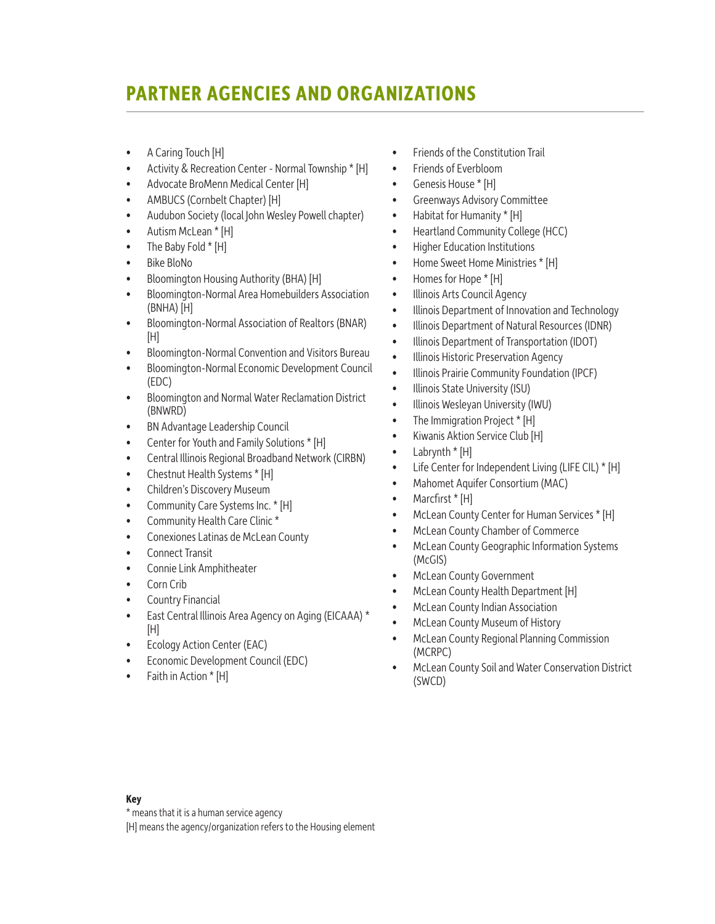#### **PARTNER AGENCIES AND ORGANIZATIONS**

- A Caring Touch [H]
- Activity & Recreation Center Normal Township \* [H]
- Advocate BroMenn Medical Center [H]
- AMBUCS (Cornbelt Chapter) [H]
- Audubon Society (local John Wesley Powell chapter)
- Autism McLean \* [H]
- The Baby Fold \* [H]
- Bike BloNo
- Bloomington Housing Authority (BHA) [H]
- Bloomington-Normal Area Homebuilders Association (BNHA) [H]
- Bloomington-Normal Association of Realtors (BNAR) [H]
- Bloomington-Normal Convention and Visitors Bureau
- Bloomington-Normal Economic Development Council (EDC)
- Bloomington and Normal Water Reclamation District (BNWRD)
- BN Advantage Leadership Council
- Center for Youth and Family Solutions \* [H]
- Central Illinois Regional Broadband Network (CIRBN)
- Chestnut Health Systems \* [H]
- Children's Discovery Museum
- Community Care Systems Inc. \* [H]
- Community Health Care Clinic \*
- Conexiones Latinas de McLean County
- Connect Transit
- Connie Link Amphitheater
- Corn Crib
- Country Financial
- East Central Illinois Area Agency on Aging (EICAAA) \* [H]
- Ecology Action Center (EAC)
- Economic Development Council (EDC)
- Faith in Action \* [H]
- Friends of the Constitution Trail
- Friends of Everbloom
- Genesis House \* [H]
- Greenways Advisory Committee
- Habitat for Humanity \* [H]
- Heartland Community College (HCC)
- Higher Education Institutions
- Home Sweet Home Ministries \* [H]
- Homes for Hope \* [H]
- Illinois Arts Council Agency
- Illinois Department of Innovation and Technology
- Illinois Department of Natural Resources (IDNR)
- Illinois Department of Transportation (IDOT)
- Illinois Historic Preservation Agency
- Illinois Prairie Community Foundation (IPCF)
- Illinois State University (ISU)
- Illinois Wesleyan University (IWU)
- The Immigration Project \* [H]
- Kiwanis Aktion Service Club [H]
- Labrynth \* [H]
- Life Center for Independent Living (LIFE CIL) \* [H]
- Mahomet Aquifer Consortium (MAC)
- Marcfirst \* [H]
- McLean County Center for Human Services \* [H]
- McLean County Chamber of Commerce
- McLean County Geographic Information Systems (McGIS)
- McLean County Government
- McLean County Health Department [H]
- McLean County Indian Association
- McLean County Museum of History
- McLean County Regional Planning Commission (MCRPC)
- McLean County Soil and Water Conservation District (SWCD)

#### **Key**

\* means that it is a human service agency

[H] means the agency/organization refers to the Housing element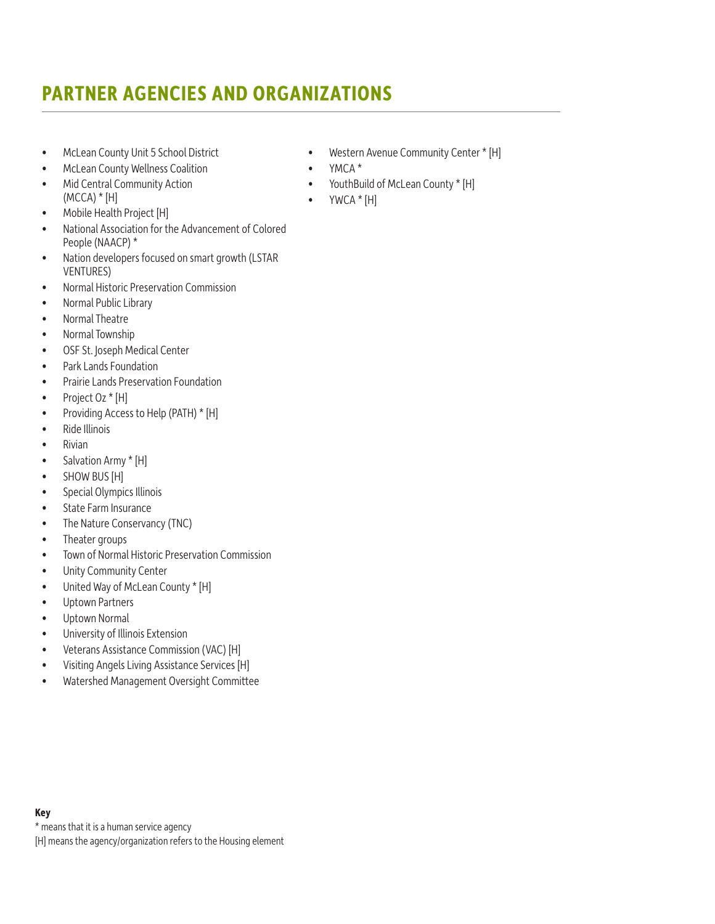# **PARTNER AGENCIES AND ORGANIZATIONS**

- McLean County Unit 5 School District
- McLean County Wellness Coalition
- Mid Central Community Action  $(MCCA)*[H]$
- Mobile Health Project [H]
- National Association for the Advancement of Colored People (NAACP) \*
- Nation developers focused on smart growth (LSTAR VENTURES)
- Normal Historic Preservation Commission
- Normal Public Library
- Normal Theatre
- Normal Township
- OSF St. Joseph Medical Center
- Park Lands Foundation
- Prairie Lands Preservation Foundation
- Project Oz \* [H]
- Providing Access to Help (PATH) \* [H]
- Ride Illinois
- Rivian
- Salvation Army \* [H]
- SHOW BUS [H]
- Special Olympics Illinois
- State Farm Insurance
- The Nature Conservancy (TNC)
- Theater groups
- Town of Normal Historic Preservation Commission
- Unity Community Center
- United Way of McLean County \* [H]
- Uptown Partners
- Uptown Normal
- University of Illinois Extension
- Veterans Assistance Commission (VAC) [H]
- Visiting Angels Living Assistance Services [H]
- Watershed Management Oversight Committee

**Key**

\* means that it is a human service agency

[H] means the agency/organization refers to the Housing element

- Western Avenue Community Center \* [H]
- YMCA \*
- YouthBuild of McLean County \* [H]
- $\bullet$  YWCA  $*$  [H]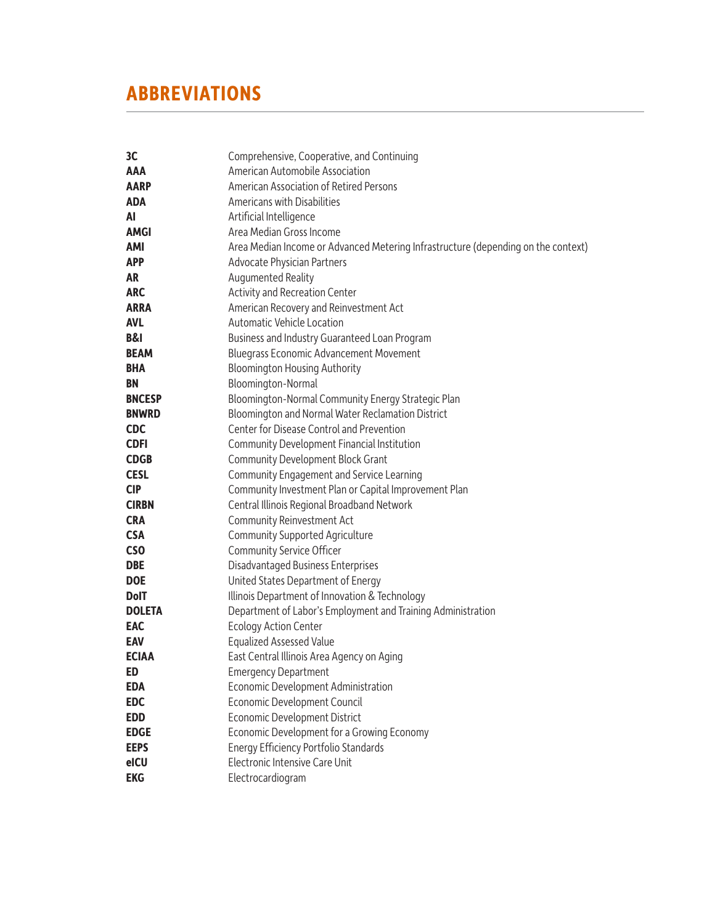| 3 <sup>C</sup>  | Comprehensive, Cooperative, and Continuing                                        |
|-----------------|-----------------------------------------------------------------------------------|
| AAA             | American Automobile Association                                                   |
| <b>AARP</b>     | American Association of Retired Persons                                           |
| <b>ADA</b>      | Americans with Disabilities                                                       |
| AI              | Artificial Intelligence                                                           |
| <b>AMGI</b>     | Area Median Gross Income                                                          |
| <b>AMI</b>      | Area Median Income or Advanced Metering Infrastructure (depending on the context) |
| <b>APP</b>      | Advocate Physician Partners                                                       |
| AR              | Augumented Reality                                                                |
| <b>ARC</b>      | Activity and Recreation Center                                                    |
| <b>ARRA</b>     | American Recovery and Reinvestment Act                                            |
| <b>AVL</b>      | Automatic Vehicle Location                                                        |
| <b>B&amp;I</b>  | Business and Industry Guaranteed Loan Program                                     |
| <b>BEAM</b>     | <b>Bluegrass Economic Advancement Movement</b>                                    |
| <b>BHA</b>      | <b>Bloomington Housing Authority</b>                                              |
| BN              | Bloomington-Normal                                                                |
| <b>BNCESP</b>   | Bloomington-Normal Community Energy Strategic Plan                                |
| <b>BNWRD</b>    | Bloomington and Normal Water Reclamation District                                 |
| <b>CDC</b>      | Center for Disease Control and Prevention                                         |
| <b>CDFI</b>     | Community Development Financial Institution                                       |
| <b>CDGB</b>     | <b>Community Development Block Grant</b>                                          |
| <b>CESL</b>     | Community Engagement and Service Learning                                         |
| <b>CIP</b>      | Community Investment Plan or Capital Improvement Plan                             |
| <b>CIRBN</b>    | Central Illinois Regional Broadband Network                                       |
| <b>CRA</b>      | Community Reinvestment Act                                                        |
| <b>CSA</b>      | <b>Community Supported Agriculture</b>                                            |
| CS <sub>O</sub> | <b>Community Service Officer</b>                                                  |
| <b>DBE</b>      | Disadvantaged Business Enterprises                                                |
| <b>DOE</b>      | United States Department of Energy                                                |
| <b>DolT</b>     | Illinois Department of Innovation & Technology                                    |
| <b>DOLETA</b>   | Department of Labor's Employment and Training Administration                      |
| <b>EAC</b>      | <b>Ecology Action Center</b>                                                      |
| <b>EAV</b>      | <b>Equalized Assessed Value</b>                                                   |
| <b>ECIAA</b>    | East Central Illinois Area Agency on Aging                                        |
| ED              | <b>Emergency Department</b>                                                       |
| EDA             | Economic Development Administration                                               |
| <b>EDC</b>      | <b>Economic Development Council</b>                                               |
| <b>EDD</b>      | <b>Economic Development District</b>                                              |
| <b>EDGE</b>     | Economic Development for a Growing Economy                                        |
| <b>EEPS</b>     | Energy Efficiency Portfolio Standards                                             |
| eICU            | Electronic Intensive Care Unit                                                    |
| <b>EKG</b>      | Electrocardiogram                                                                 |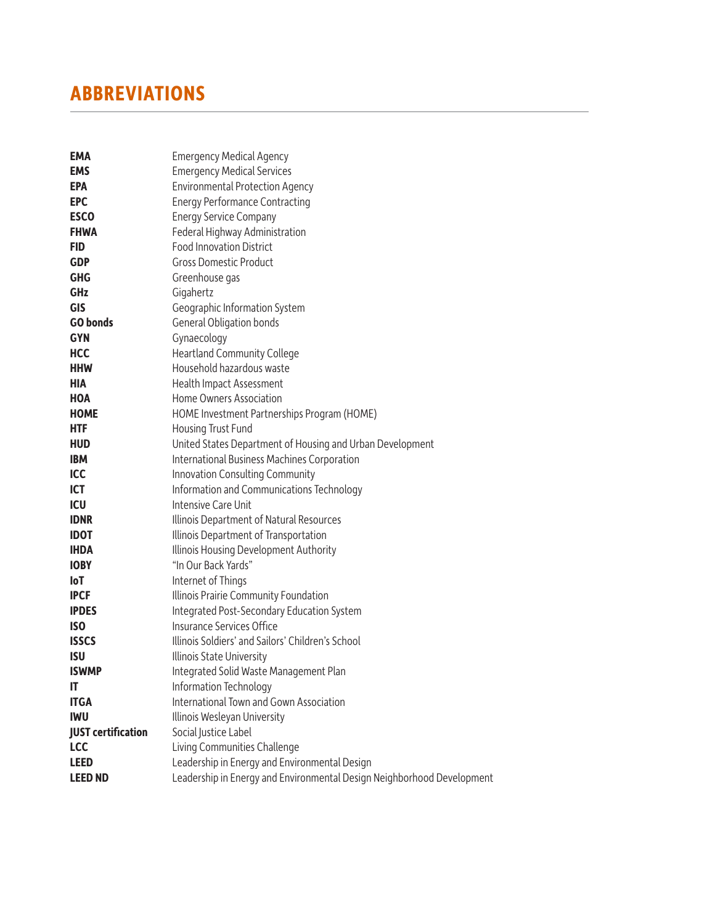| EMA<br><b>EMS</b>         | <b>Emergency Medical Agency</b>                                        |
|---------------------------|------------------------------------------------------------------------|
|                           | <b>Emergency Medical Services</b>                                      |
| <b>EPA</b>                | <b>Environmental Protection Agency</b>                                 |
| <b>EPC</b>                | <b>Energy Performance Contracting</b>                                  |
| <b>ESCO</b>               | <b>Energy Service Company</b>                                          |
| <b>FHWA</b>               | Federal Highway Administration                                         |
| FID                       | <b>Food Innovation District</b>                                        |
| GDP                       | <b>Gross Domestic Product</b>                                          |
| <b>GHG</b>                | Greenhouse gas                                                         |
| GHz                       | Gigahertz                                                              |
| <b>GIS</b>                | Geographic Information System                                          |
| <b>GO bonds</b>           | General Obligation bonds                                               |
| <b>GYN</b>                | Gynaecology                                                            |
| <b>HCC</b>                | <b>Heartland Community College</b>                                     |
| <b>HHW</b>                | Household hazardous waste                                              |
| <b>HIA</b>                | Health Impact Assessment                                               |
| <b>HOA</b>                | Home Owners Association                                                |
| <b>HOME</b>               | HOME Investment Partnerships Program (HOME)                            |
| <b>HTF</b>                | Housing Trust Fund                                                     |
| <b>HUD</b>                | United States Department of Housing and Urban Development              |
| <b>IBM</b>                | <b>International Business Machines Corporation</b>                     |
| <b>ICC</b>                | Innovation Consulting Community                                        |
| <b>ICT</b>                | Information and Communications Technology                              |
| ICU                       | Intensive Care Unit                                                    |
| <b>IDNR</b>               | Illinois Department of Natural Resources                               |
| <b>IDOT</b>               | Illinois Department of Transportation                                  |
| <b>IHDA</b>               | Illinois Housing Development Authority                                 |
| <b>IOBY</b>               | "In Our Back Yards"                                                    |
| loT                       | Internet of Things                                                     |
| <b>IPCF</b>               | Illinois Prairie Community Foundation                                  |
| <b>IPDES</b>              | Integrated Post-Secondary Education System                             |
| <b>ISO</b>                | Insurance Services Office                                              |
| <b>ISSCS</b>              | Illinois Soldiers' and Sailors' Children's School                      |
| <b>ISU</b>                | Illinois State University                                              |
| <b>ISWMP</b>              | Integrated Solid Waste Management Plan                                 |
| IT                        | Information Technology                                                 |
| <b>ITGA</b>               | International Town and Gown Association                                |
| <b>IWU</b>                | Illinois Wesleyan University                                           |
| <b>JUST certification</b> | Social Justice Label                                                   |
| <b>LCC</b>                | Living Communities Challenge                                           |
| <b>LEED</b>               | Leadership in Energy and Environmental Design                          |
| <b>LEED ND</b>            | Leadership in Energy and Environmental Design Neighborhood Development |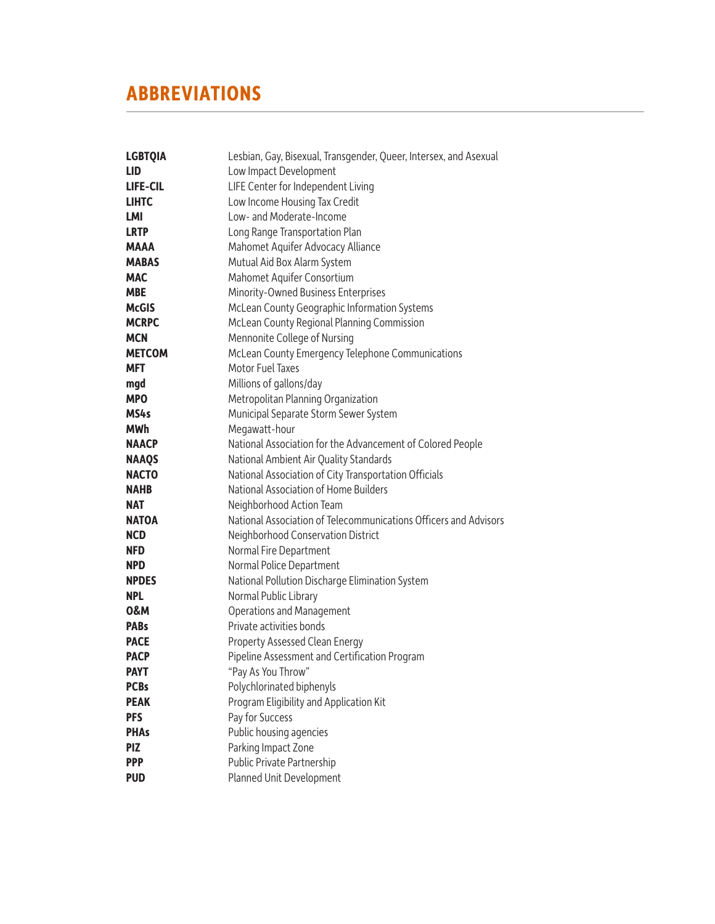| <b>LGBTQIA</b>  | Lesbian, Gay, Bisexual, Transgender, Queer, Intersex, and Asexual |
|-----------------|-------------------------------------------------------------------|
| <b>LID</b>      | Low Impact Development                                            |
| <b>LIFE-CIL</b> | LIFE Center for Independent Living                                |
| <b>LIHTC</b>    | Low Income Housing Tax Credit                                     |
| LMI             | Low- and Moderate-Income                                          |
| <b>LRTP</b>     | Long Range Transportation Plan                                    |
| MAAA            | Mahomet Aquifer Advocacy Alliance                                 |
| <b>MABAS</b>    | Mutual Aid Box Alarm System                                       |
| <b>MAC</b>      | Mahomet Aquifer Consortium                                        |
| <b>MBE</b>      | Minority-Owned Business Enterprises                               |
| <b>McGIS</b>    | McLean County Geographic Information Systems                      |
| <b>MCRPC</b>    | McLean County Regional Planning Commission                        |
| <b>MCN</b>      | Mennonite College of Nursing                                      |
| <b>METCOM</b>   | McLean County Emergency Telephone Communications                  |
| <b>MFT</b>      | Motor Fuel Taxes                                                  |
| mgd             | Millions of gallons/day                                           |
| <b>MPO</b>      | Metropolitan Planning Organization                                |
| MS4s            | Municipal Separate Storm Sewer System                             |
| <b>MWh</b>      | Megawatt-hour                                                     |
| <b>NAACP</b>    | National Association for the Advancement of Colored People        |
| <b>NAAQS</b>    | National Ambient Air Quality Standards                            |
| <b>NACTO</b>    | National Association of City Transportation Officials             |
| <b>NAHB</b>     | National Association of Home Builders                             |
| NAT             | Neighborhood Action Team                                          |
| <b>NATOA</b>    | National Association of Telecommunications Officers and Advisors  |
| <b>NCD</b>      | Neighborhood Conservation District                                |
| <b>NFD</b>      | Normal Fire Department                                            |
| <b>NPD</b>      | Normal Police Department                                          |
| <b>NPDES</b>    | National Pollution Discharge Elimination System                   |
| <b>NPL</b>      | Normal Public Library                                             |
| 0&M             | <b>Operations and Management</b>                                  |
| <b>PABs</b>     | Private activities bonds                                          |
| <b>PACE</b>     | Property Assessed Clean Energy                                    |
| <b>PACP</b>     | Pipeline Assessment and Certification Program                     |
| <b>PAYT</b>     | "Pay As You Throw"                                                |
| <b>PCBs</b>     | Polychlorinated biphenyls                                         |
| <b>PEAK</b>     | Program Eligibility and Application Kit                           |
| <b>PFS</b>      | Pay for Success                                                   |
| <b>PHAs</b>     | Public housing agencies                                           |
| <b>PIZ</b>      | Parking Impact Zone                                               |
| <b>PPP</b>      | Public Private Partnership                                        |
| <b>PUD</b>      | Planned Unit Development                                          |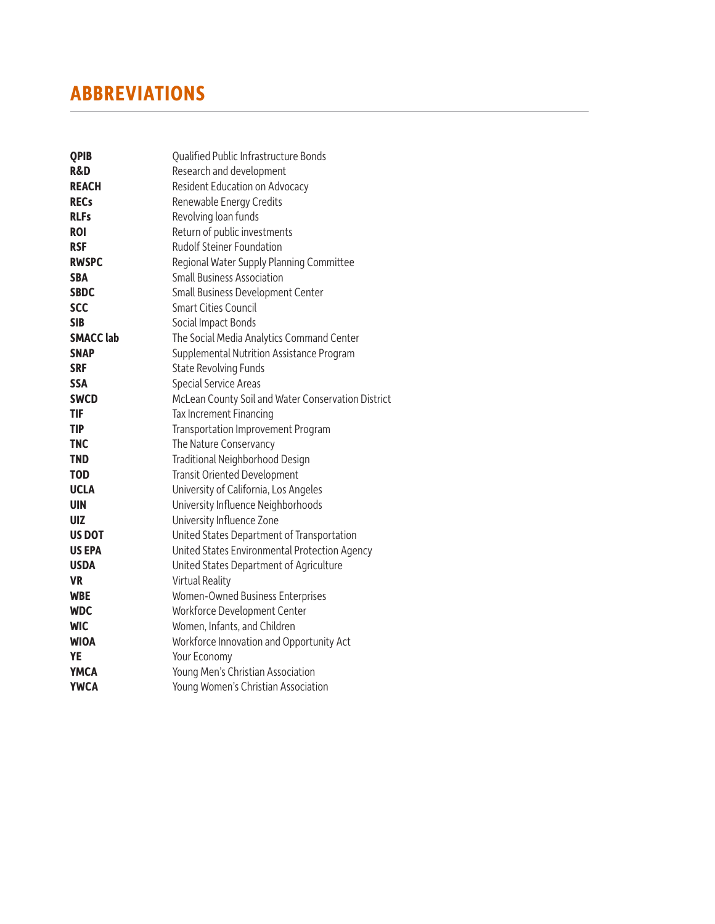| <b>QPIB</b>      | Qualified Public Infrastructure Bonds              |
|------------------|----------------------------------------------------|
| <b>R&amp;D</b>   | Research and development                           |
| <b>REACH</b>     | Resident Education on Advocacy                     |
| <b>RECs</b>      | Renewable Energy Credits                           |
| <b>RLFs</b>      | Revolving loan funds                               |
| <b>ROI</b>       | Return of public investments                       |
| <b>RSF</b>       | Rudolf Steiner Foundation                          |
| <b>RWSPC</b>     | Regional Water Supply Planning Committee           |
| <b>SBA</b>       | <b>Small Business Association</b>                  |
| <b>SBDC</b>      | Small Business Development Center                  |
| <b>SCC</b>       | <b>Smart Cities Council</b>                        |
| <b>SIB</b>       | Social Impact Bonds                                |
| <b>SMACC lab</b> | The Social Media Analytics Command Center          |
| <b>SNAP</b>      | Supplemental Nutrition Assistance Program          |
| <b>SRF</b>       | <b>State Revolving Funds</b>                       |
| <b>SSA</b>       | <b>Special Service Areas</b>                       |
| <b>SWCD</b>      | McLean County Soil and Water Conservation District |
| TIF              | Tax Increment Financing                            |
| <b>TIP</b>       | Transportation Improvement Program                 |
| <b>TNC</b>       | The Nature Conservancy                             |
| <b>TND</b>       | Traditional Neighborhood Design                    |
| <b>TOD</b>       | <b>Transit Oriented Development</b>                |
| <b>UCLA</b>      | University of California, Los Angeles              |
| <b>UIN</b>       | University Influence Neighborhoods                 |
| UIZ              | University Influence Zone                          |
| <b>US DOT</b>    | United States Department of Transportation         |
| <b>US EPA</b>    | United States Environmental Protection Agency      |
| <b>USDA</b>      | United States Department of Agriculture            |
| <b>VR</b>        | <b>Virtual Reality</b>                             |
| <b>WBE</b>       | Women-Owned Business Enterprises                   |
| <b>WDC</b>       | Workforce Development Center                       |
| <b>WIC</b>       | Women, Infants, and Children                       |
| <b>WIOA</b>      | Workforce Innovation and Opportunity Act           |
| <b>YE</b>        | Your Economy                                       |
| <b>YMCA</b>      | Young Men's Christian Association                  |
| <b>YWCA</b>      | Young Women's Christian Association                |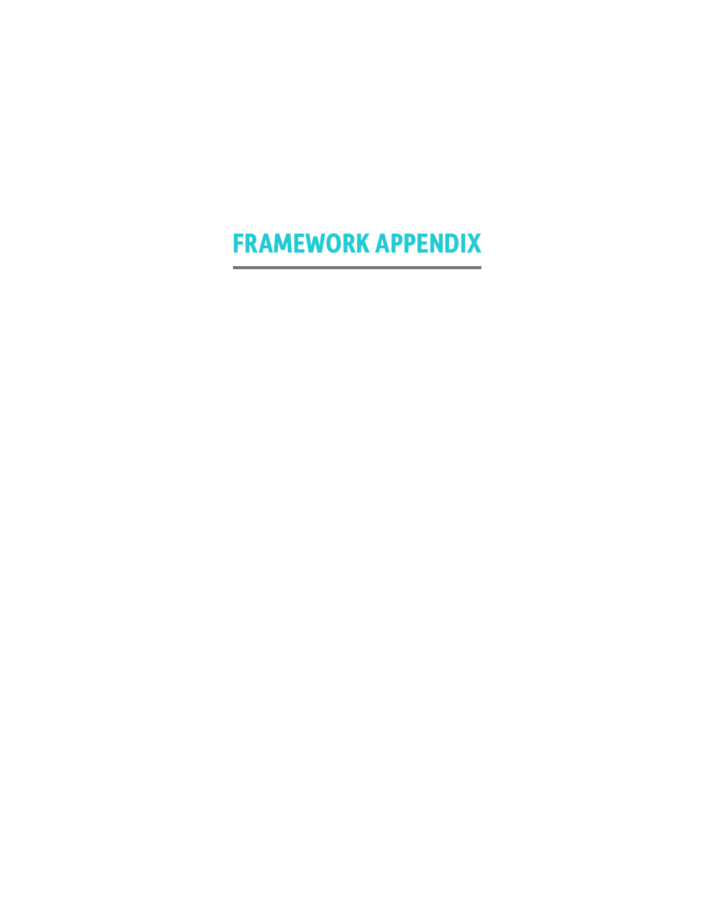# **FRAMEWORK APPENDIX**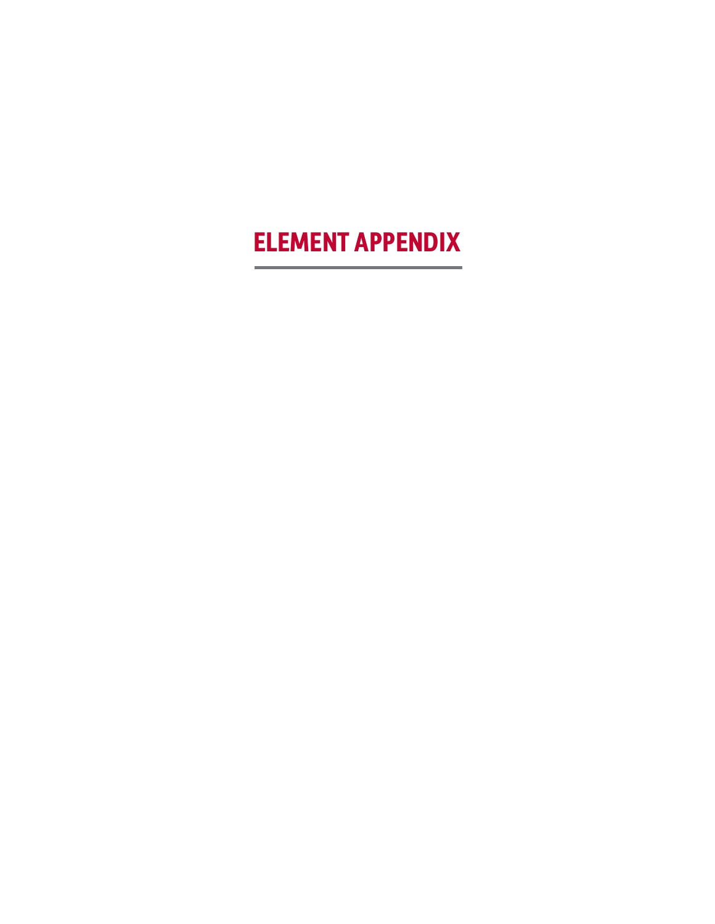# **ELEMENT APPENDIX**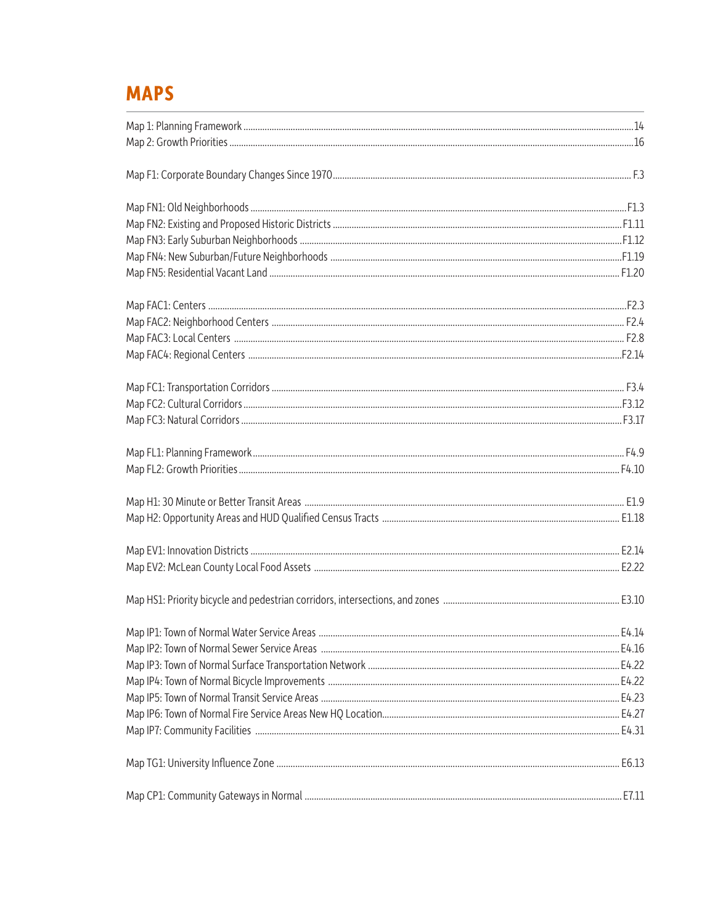### **MAPS**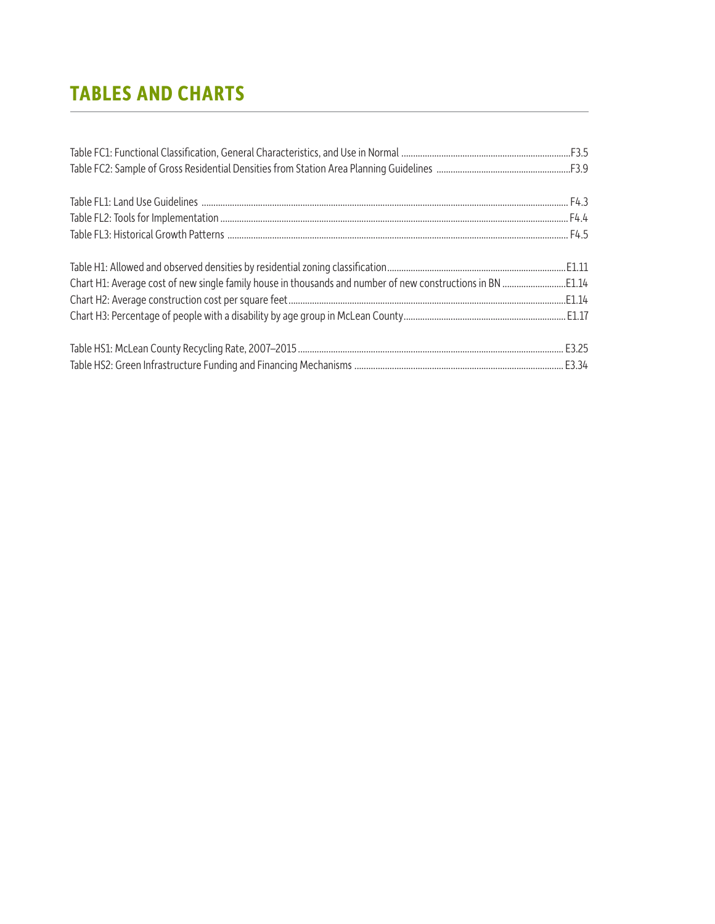# **TABLES AND CHARTS**